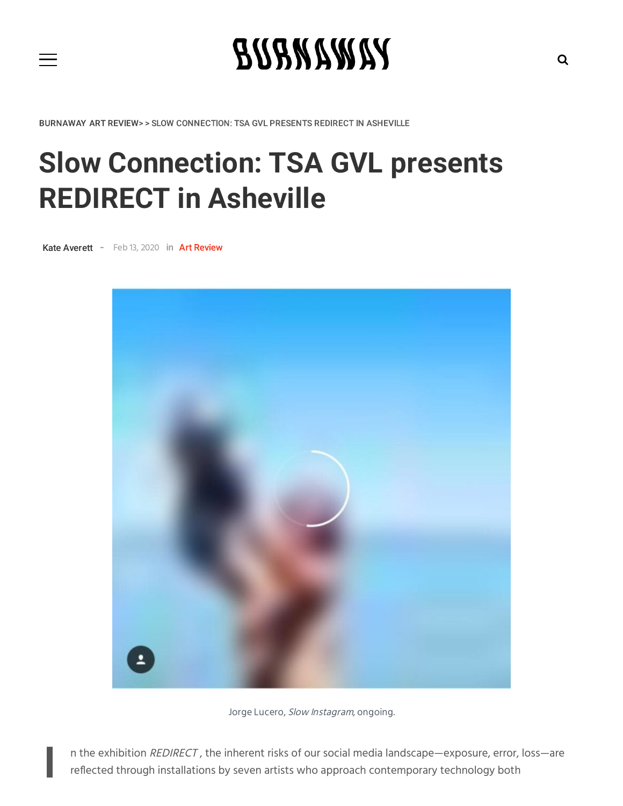

BURNAWAY ART REVIEW> > SLOW CONNECTION: TSA GVL PRESENTS REDIRECT IN ASHEVILLE

## **Slow Connection: TSA GVL presents REDIRECT in Asheville**

[Kate Averett](https://burnaway.org/author/kate-av/) - Feb 13, 2020 in

I



Jorge Lucero, Slow Instagram, ongoing.

n the exhibition REDIRECT, the inherent risks of our social media landscape—exposure, error, loss—are reflected through installations by seven artists who approach contemporary technology both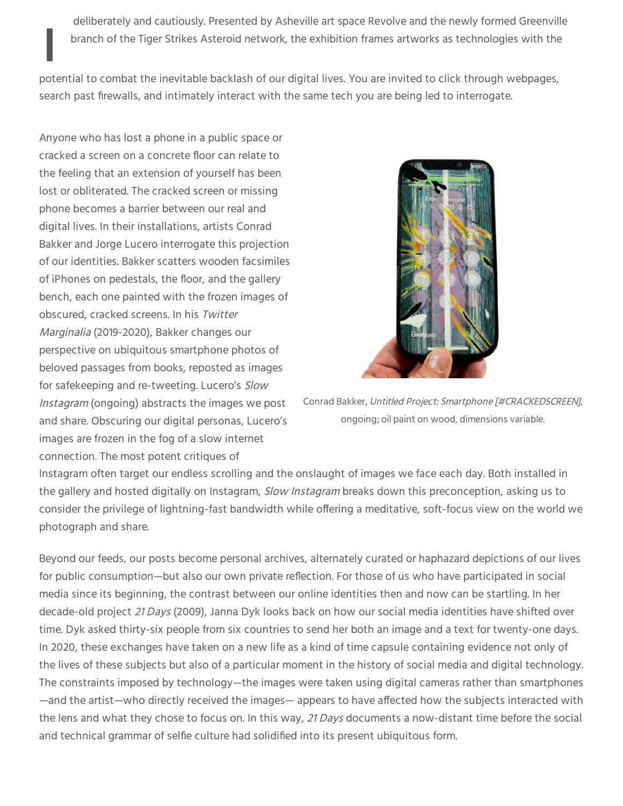In the ineution of the Tiger Strikes Asteroid network, the exhibition frames artworks as technologies with the<br>potential to combat the inevitable backlash of our digital lives. You are invited to click through webpages, deliberately and cautiously. Presented by Asheville art space Revolve and the newly formed Greenville branch of the Tiger Strikes Asteroid network, the exhibition frames artworks as technologies with the

search past firewalls, and intimately interact with the same tech you are being led to interrogate.

Anyone who has lost a phone in a public space or cracked a screen on a concrete floor can relate to the feeling that an extension of yourself has been lost or obliterated. The cracked screen or missing phone becomes a barrier between our real and digital lives. In their installations, artists Conrad Bakker and Jorge Lucero interrogate this projection of our identities. Bakker scatters wooden facsimiles of iPhones on pedestals, the floor, and the gallery bench, each one painted with the frozen images of obscured, cracked screens. In his Twitter Marginalia (2019-2020), Bakker changes our perspective on ubiquitous smartphone photos of beloved passages from books, reposted as images for safekeeping and re-tweeting. Lucero's Slow Instagram (ongoing) abstracts the images we post and share. Obscuring our digital personas, Lucero's images are frozen in the fog of a slow internet connection. The most potent critiques of



Conrad Bakker, Untitled Project: Smartphone [#CRACKEDSCREEN], ongoing; oil paint on wood, dimensions variable.

Instagram often target our endless scrolling and the onslaught of images we face each day. Both installed in the gallery and hosted digitally on Instagram, Slow Instagram breaks down this preconception, asking us to consider the privilege of lightning-fast bandwidth while offering a meditative, soft-focus view on the world we photograph and share.

Beyond our feeds, our posts become personal archives, alternately curated or haphazard depictions of our lives for public consumption—but also our own private reflection. For those of us who have participated in social media since its beginning, the contrast between our online identities then and now can be startling. In her decade-old project 21 Days (2009), Janna Dyk looks back on how our social media identities have shifted over time. Dyk asked thirty-six people from six countries to send her both an image and a text for twenty-one days. In 2020, these exchanges have taken on a new life as a kind of time capsule containing evidence not only of the lives of these subjects but also of a particular moment in the history of social media and digital technology. The constraints imposed by technology—the images were taken using digital cameras rather than smartphones —and the artist—who directly received the images— appears to have affected how the subjects interacted with the lens and what they chose to focus on. In this way, 21 Days documents a now-distant time before the social and technical grammar of selfie culture had solidified into its present ubiquitous form.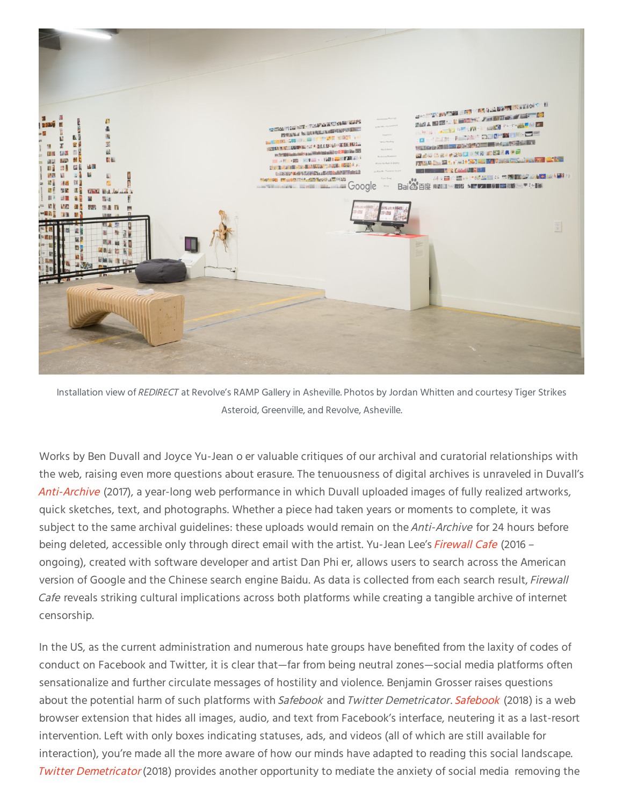

Installation view of REDIRECT at Revolve's RAMP Gallery in Asheville. Photos by Jordan Whitten and courtesy Tiger Strikes Asteroid, Greenville, and Revolve, Asheville.

Works by Ben Duvall and Joyce Yu-Jean o er valuable critiques of our archival and curatorial relationships with the web, raising even more questions about erasure. The tenuousness of digital archives is unraveled in Duvall's [Anti-Archive](https://bduvall.com/) (2017), a year-long web performance in which Duvall uploaded images of fully realized artworks, quick sketches, text, and photographs. Whether a piece had taken years or moments to complete, it was subject to the same archival guidelines: these uploads would remain on the *Anti-Archive* for 24 hours before being deleted, accessible only through direct email with the artist. Yu-Jean Lee's [Firewall Cafe](https://firewallcafe.com/) (2016 – ongoing), created with software developer and artist Dan Phi er, allows users to search across the American version of Google and the Chinese search engine Baidu. As data is collected from each search result, Firewall Cafe reveals striking cultural implications across both platforms while creating a tangible archive of internet censorship.

In the US, as the current administration and numerous hate groups have benefited from the laxity of codes of conduct on Facebook and Twitter, it is clear that—far from being neutral zones—social media platforms often sensationalize and further circulate messages of hostility and violence. Benjamin Grosser raises questions about the potential harm of such platforms with [Safebook](https://bengrosser.com/projects/safebook/) and Twitter Demetricator. Safebook (2018) is a web browser extension that hides all images, audio, and text from Facebook's interface, neutering it as a last-resort intervention. Left with only boxes indicating statuses, ads, and videos (all of which are still available for interaction), you're made all the more aware of how our minds have adapted to reading this social landscape. Twitter [Demetricator](https://bengrosser.com/projects/twitter-demetricator/) (2018) provides another opportunity to mediate the anxiety of social media removing the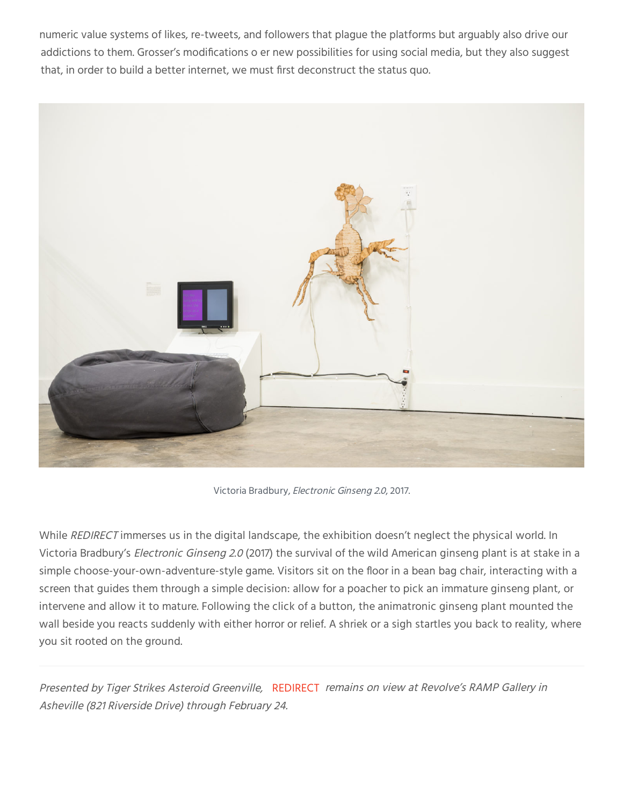numeric value systems of likes, re-tweets, and followers that plague the platforms but arguably also drive our addictions to them. Grosser's modifications o er new possibilities for using social media, but they also suggest that, in order to build a better internet, we must first deconstruct the status quo.



Victoria Bradbury, Electronic Ginseng 2.0, 2017.

While REDIRECT immerses us in the digital landscape, the exhibition doesn't neglect the physical world. In Victoria Bradbury's Electronic Ginseng 2.0 (2017) the survival of the wild American ginseng plant is at stake in a simple choose-your-own-adventure-style game. Visitors sit on the floor in a bean bag chair, interacting with a screen that guides them through a simple decision: allow for a poacher to pick an immature ginseng plant, or intervene and allow it to mature. Following the click of a button, the animatronic ginseng plant mounted the wall beside you reacts suddenly with either horror or relief. A shriek or a sigh startles you back to reality, where you sit rooted on the ground.

Presented by Tiger Strikes Asteroid Greenville, REDIRECT remains on view at Revolve's RAMP Gallery in Asheville (821 Riverside Drive) through February 24.